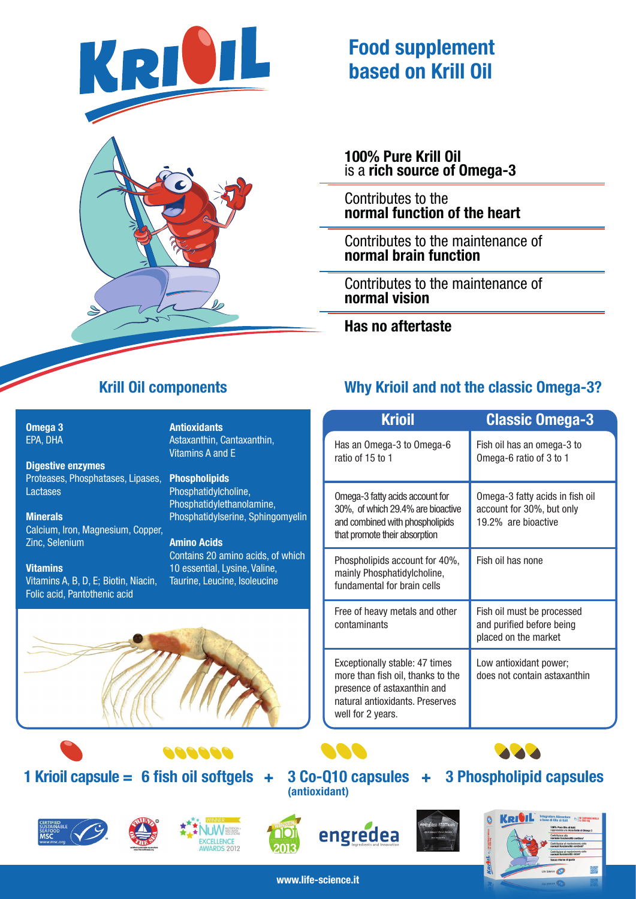



# **Food supplement based on Krill Oil**

**100% Pure Krill Oil** is a **rich source of Omega-3**

Contributes to the **normal function of the heart**

Contributes to the maintenance of **normal brain function**

Contributes to the maintenance of **normal vision**

**Has no aftertaste**

**Omega 3** EPA, DHA

**Digestive enzymes** Proteases, Phosphatases, Lipases, Lactases

**Minerals** Calcium, Iron, Magnesium, Copper, Zinc, Selenium

### **Vitamins**

Vitamins A, B, D, E; Biotin, Niacin, Folic acid, Pantothenic acid

**Antioxidants** Astaxanthin, Cantaxanthin, Vitamins A and E

**Phospholipids** Phosphatidylcholine, Phosphatidylethanolamine, Phosphatidylserine, Sphingomyelin

**Amino Acids** Contains 20 amino acids, of which 10 essential, Lysine, Valine, Taurine, Leucine, Isoleucine



### **1 Krioil capsule =**  $6$  **fish oil softgels**  $+$





000000





**NACI** 



**3 Phospholipid capsules**



# **Krill Oil components Why Krioil and not the classic Omega-3?**

| <b>Krioil</b>                                                                                                                                              | <b>Classic Omega-3</b>                                                              |  |
|------------------------------------------------------------------------------------------------------------------------------------------------------------|-------------------------------------------------------------------------------------|--|
| Has an Omega-3 to Omega-6<br>ratio of 15 to 1                                                                                                              | Fish oil has an omega-3 to<br>Omega-6 ratio of 3 to 1                               |  |
| Omega-3 fatty acids account for<br>30%, of which 29.4% are bioactive<br>and combined with phospholipids<br>that promote their absorption                   | Omega-3 fatty acids in fish oil<br>account for 30%, but only<br>19.2% are bioactive |  |
| Phospholipids account for 40%,<br>mainly Phosphatidylcholine,<br>fundamental for brain cells                                                               | Fish oil has none                                                                   |  |
| Free of heavy metals and other<br>contaminants                                                                                                             | Fish oil must be processed<br>and purified before being<br>placed on the market     |  |
| Exceptionally stable: 47 times<br>more than fish oil, thanks to the<br>presence of astaxanthin and<br>natural antioxidants. Preserves<br>well for 2 years. | Low antioxidant power;<br>does not contain astaxanthin                              |  |

**www.life-science.it**

**(antioxidant)**